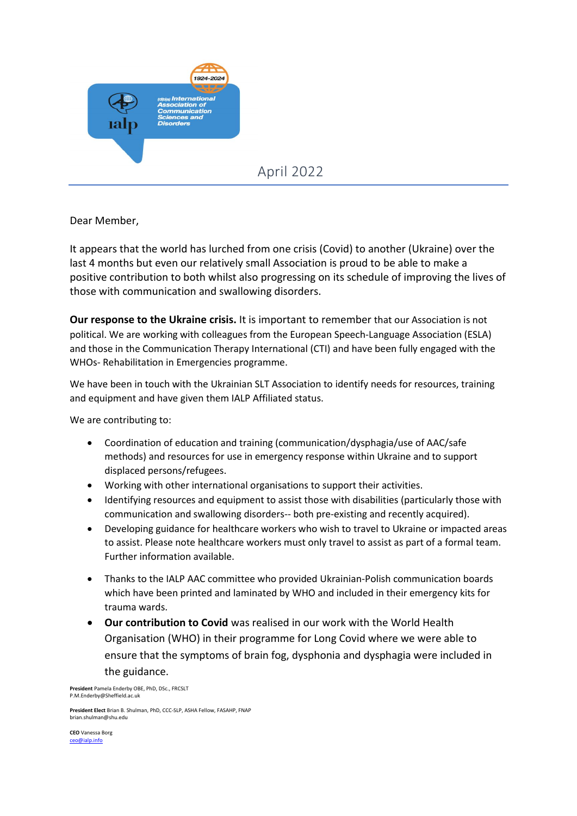

April 2022

Dear Member,

It appears that the world has lurched from one crisis (Covid) to another (Ukraine) over the last 4 months but even our relatively small Association is proud to be able to make a positive contribution to both whilst also progressing on its schedule of improving the lives of those with communication and swallowing disorders.

**Our response to the Ukraine crisis.** It is important to remember that our Association is not political. We are working with colleagues from the European Speech-Language Association (ESLA) and those in the Communication Therapy International (CTI) and have been fully engaged with the WHOs- Rehabilitation in Emergencies programme.

We have been in touch with the Ukrainian SLT Association to identify needs for resources, training and equipment and have given them IALP Affiliated status.

We are contributing to:

- Coordination of education and training (communication/dysphagia/use of AAC/safe methods) and resources for use in emergency response within Ukraine and to support displaced persons/refugees.
- Working with other international organisations to support their activities.
- Identifying resources and equipment to assist those with disabilities (particularly those with communication and swallowing disorders-- both pre-existing and recently acquired).
- Developing guidance for healthcare workers who wish to travel to Ukraine or impacted areas to assist. Please note healthcare workers must only travel to assist as part of a formal team. Further information available.
- Thanks to the IALP AAC committee who provided Ukrainian-Polish communication boards which have been printed and laminated by WHO and included in their emergency kits for trauma wards.
- **Our contribution to Covid** was realised in our work with the World Health Organisation (WHO) in their programme for Long Covid where we were able to ensure that the symptoms of brain fog, dysphonia and dysphagia were included in the guidance.

**President** Pamela Enderby OBE, PhD, DSc., FRCSLT [P.M.Enderby@Sheffield.ac.uk](about:blank)

**President Elect** Brian B. Shulman, PhD, CCC-SLP, ASHA Fellow, FASAHP, FNAP [brian.shulman@shu.edu](about:blank)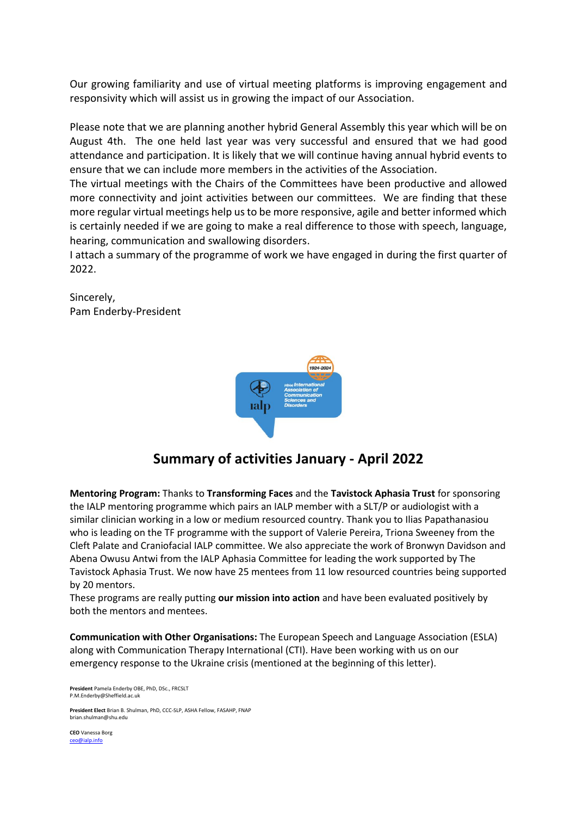Our growing familiarity and use of virtual meeting platforms is improving engagement and responsivity which will assist us in growing the impact of our Association.

Please note that we are planning another hybrid General Assembly this year which will be on August 4th. The one held last year was very successful and ensured that we had good attendance and participation. It is likely that we will continue having annual hybrid events to ensure that we can include more members in the activities of the Association.

The virtual meetings with the Chairs of the Committees have been productive and allowed more connectivity and joint activities between our committees. We are finding that these more regular virtual meetings help us to be more responsive, agile and better informed which is certainly needed if we are going to make a real difference to those with speech, language, hearing, communication and swallowing disorders.

I attach a summary of the programme of work we have engaged in during the first quarter of 2022.

Sincerely, Pam Enderby-President



## **Summary of activities January - April 2022**

**Mentoring Program:** Thanks to **Transforming Faces** and the **Tavistock Aphasia Trust** for sponsoring the IALP mentoring programme which pairs an IALP member with a SLT/P or audiologist with a similar clinician working in a low or medium resourced country. Thank you to Ilias Papathanasiou who is leading on the TF programme with the support of Valerie Pereira, Triona Sweeney from the Cleft Palate and Craniofacial IALP committee. We also appreciate the work of Bronwyn Davidson and Abena Owusu Antwi from the IALP Aphasia Committee for leading the work supported by The Tavistock Aphasia Trust. We now have 25 mentees from 11 low resourced countries being supported by 20 mentors.

These programs are really putting **our mission into action** and have been evaluated positively by both the mentors and mentees.

**Communication with Other Organisations:** The European Speech and Language Association (ESLA) along with Communication Therapy International (CTI). Have been working with us on our emergency response to the Ukraine crisis (mentioned at the beginning of this letter).

**President** Pamela Enderby OBE, PhD, DSc., FRCSLT [P.M.Enderby@Sheffield.ac.uk](about:blank)

**President Elect** Brian B. Shulman, PhD, CCC-SLP, ASHA Fellow, FASAHP, FNAP [brian.shulman@shu.edu](about:blank)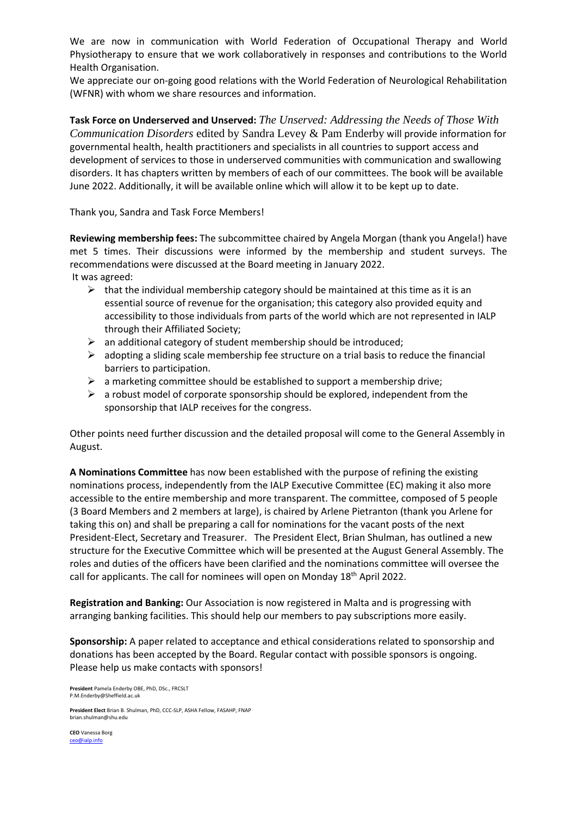We are now in communication with World Federation of Occupational Therapy and World Physiotherapy to ensure that we work collaboratively in responses and contributions to the World Health Organisation.

We appreciate our on-going good relations with the World Federation of Neurological Rehabilitation (WFNR) with whom we share resources and information.

**Task Force on Underserved and Unserved:** *The Unserved: Addressing the Needs of Those With Communication Disorders* edited by Sandra Levey & Pam Enderby will provide information for governmental health, health practitioners and specialists in all countries to support access and development of services to those in underserved communities with communication and swallowing disorders. It has chapters written by members of each of our committees. The book will be available June 2022. Additionally, it will be available online which will allow it to be kept up to date.

Thank you, Sandra and Task Force Members!

**Reviewing membership fees:** The subcommittee chaired by Angela Morgan (thank you Angela!) have met 5 times. Their discussions were informed by the membership and student surveys. The recommendations were discussed at the Board meeting in January 2022.

It was agreed:

- $\triangleright$  that the individual membership category should be maintained at this time as it is an essential source of revenue for the organisation; this category also provided equity and accessibility to those individuals from parts of the world which are not represented in IALP through their Affiliated Society;
- $\triangleright$  an additional category of student membership should be introduced;
- $\triangleright$  adopting a sliding scale membership fee structure on a trial basis to reduce the financial barriers to participation.
- $\triangleright$  a marketing committee should be established to support a membership drive;
- $\triangleright$  a robust model of corporate sponsorship should be explored, independent from the sponsorship that IALP receives for the congress.

Other points need further discussion and the detailed proposal will come to the General Assembly in August.

**A Nominations Committee** has now been established with the purpose of refining the existing nominations process, independently from the IALP Executive Committee (EC) making it also more accessible to the entire membership and more transparent. The committee, composed of 5 people (3 Board Members and 2 members at large), is chaired by Arlene Pietranton (thank you Arlene for taking this on) and shall be preparing a call for nominations for the vacant posts of the next President-Elect, Secretary and Treasurer. The President Elect, Brian Shulman, has outlined a new structure for the Executive Committee which will be presented at the August General Assembly. The roles and duties of the officers have been clarified and the nominations committee will oversee the call for applicants. The call for nominees will open on Monday 18<sup>th</sup> April 2022.

**Registration and Banking:** Our Association is now registered in Malta and is progressing with arranging banking facilities. This should help our members to pay subscriptions more easily.

**Sponsorship:** A paper related to acceptance and ethical considerations related to sponsorship and donations has been accepted by the Board. Regular contact with possible sponsors is ongoing. Please help us make contacts with sponsors!

**President** Pamela Enderby OBE, PhD, DSc., FRCSLT [P.M.Enderby@Sheffield.ac.uk](about:blank)

**President Elect** Brian B. Shulman, PhD, CCC-SLP, ASHA Fellow, FASAHP, FNAP [brian.shulman@shu.edu](about:blank)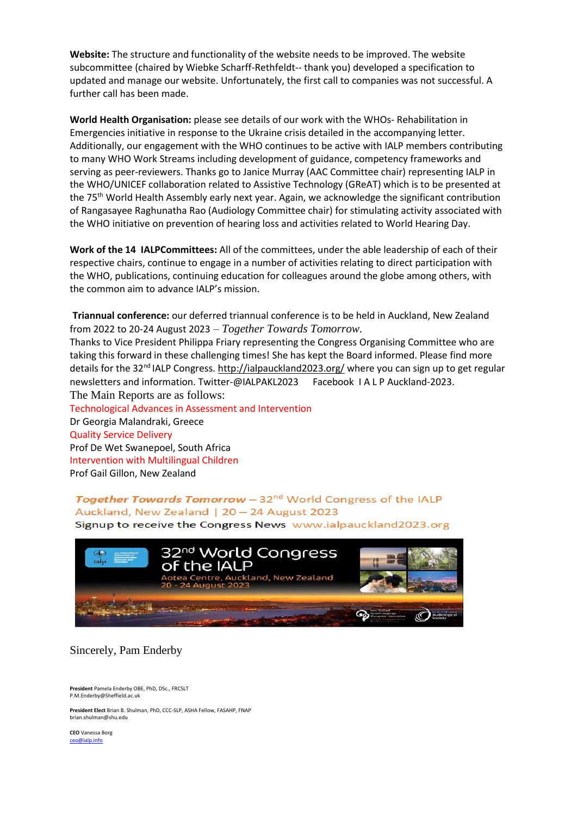**Website:** The structure and functionality of the website needs to be improved. The website subcommittee (chaired by Wiebke Scharff-Rethfeldt-- thank you) developed a specification to updated and manage our website. Unfortunately, the first call to companies was not successful. A further call has been made.

**World Health Organisation:** please see details of our work with the WHOs- Rehabilitation in Emergencies initiative in response to the Ukraine crisis detailed in the accompanying letter. Additionally, our engagement with the WHO continues to be active with IALP members contributing to many WHO Work Streams including development of guidance, competency frameworks and serving as peer-reviewers. Thanks go to Janice Murray (AAC Committee chair) representing IALP in the WHO/UNICEF collaboration related to Assistive Technology (GReAT) which is to be presented at the 75th World Health Assembly early next year. Again, we acknowledge the significant contribution of Rangasayee Raghunatha Rao (Audiology Committee chair) for stimulating activity associated with the WHO initiative on prevention of hearing loss and activities related to World Hearing Day.

**Work of the 14 IALPCommittees:** All of the committees, under the able leadership of each of their respective chairs, continue to engage in a number of activities relating to direct participation with the WHO, publications, continuing education for colleagues around the globe among others, with the common aim to advance IALP's mission.

**Triannual conference:** our deferred triannual conference is to be held in Auckland, New Zealand from 2022 to 20-24 August 2023 – *Together Towards Tomorrow.*

Thanks to Vice President Philippa Friary representing the Congress Organising Committee who are taking this forward in these challenging times! She has kept the Board informed. Please find more details for the 32<sup>nd</sup> IALP Congress. [http://ialpauckland2023.org/](about:blank) where you can sign up to get regular newsletters and information. Twitter-@IALPAKL2023 Facebook I A L P Auckland-2023. The Main Reports are as follows:

Technological Advances in Assessment and Intervention Dr Georgia Malandraki, Greece Quality Service Delivery Prof De Wet Swanepoel, South Africa Intervention with Multilingual Children Prof Gail Gillon, New Zealand

Together Towards Tomorrow - 32<sup>nd</sup> World Congress of the IALP Auckland, New Zealand | 20 - 24 August 2023

Signup to receive the Congress News www.ialpauckland2023.org



Sincerely, Pam Enderby

**President** Pamela Enderby OBE, PhD, DSc., FRCSLT [P.M.Enderby@Sheffield.ac.uk](about:blank)

**President Elect** Brian B. Shulman, PhD, CCC-SLP, ASHA Fellow, FASAHP, FNAP [brian.shulman@shu.edu](about:blank)